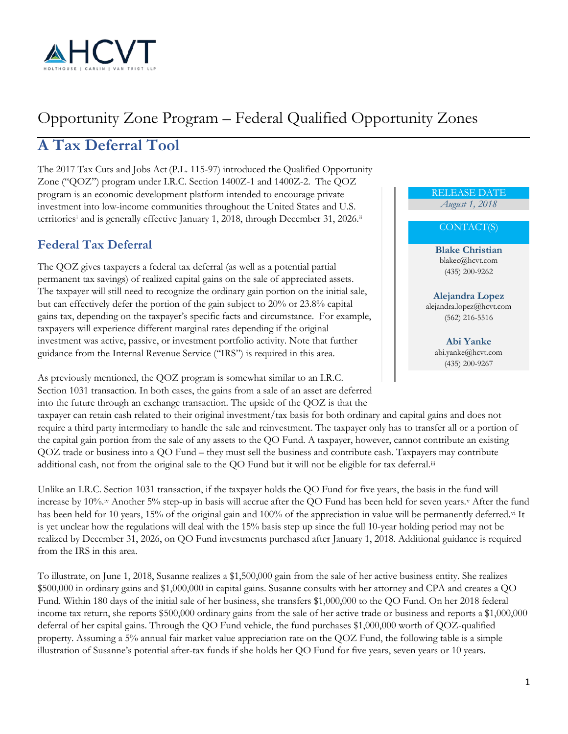

# Opportunity Zone Program – Federal Qualified Opportunity Zones

## **A Tax Deferral Tool**

The 2017 Tax Cuts and Jobs Act (P.L. 115-97) introduced the Qualified Opportunity Zone ("QOZ") program under I.R.C. Section 1400Z-1 and 1400Z-2. The QOZ program is an economic development platform intended to encourage private investment into low-income communities throughout the United States and U.S. terr[i](#page-4-0)tories<sup>i</sup> and is generally effective January 1, 2018, through December 31, 2026.<sup>ii</sup>

#### **Federal Tax Deferral**

The QOZ gives taxpayers a federal tax deferral (as well as a potential partial permanent tax savings) of realized capital gains on the sale of appreciated assets. The taxpayer will still need to recognize the ordinary gain portion on the initial sale, but can effectively defer the portion of the gain subject to 20% or 23.8% capital gains tax, depending on the taxpayer's specific facts and circumstance. For example, taxpayers will experience different marginal rates depending if the original investment was active, passive, or investment portfolio activity. Note that further guidance from the Internal Revenue Service ("IRS") is required in this area.

As previously mentioned, the QOZ program is somewhat similar to an I.R.C. Section 1031 transaction. In both cases, the gains from a sale of an asset are deferred into the future through an exchange transaction. The upside of the QOZ is that the

taxpayer can retain cash related to their original investment/tax basis for both ordinary and capital gains and does not require a third party intermediary to handle the sale and reinvestment. The taxpayer only has to transfer all or a portion of the capital gain portion from the sale of any assets to the QO Fund. A taxpayer, however, cannot contribute an existing QOZ trade or business into a QO Fund – they must sell the business and contribute cash. Taxpayers may contribute additional cash, not from the original sale to the QO Fund but it will not be eligible for tax deferral.<sup>[iii](#page-4-2)</sup>

Unlike an I.R.C. Section 1031 transaction, if the taxpayer holds the QO Fund for five years, the basis in the fund will increase by 10%.[iv](#page-4-3) Another 5% step-up in basis will accrue after the QO Fund has been held for seven years.[v](#page-4-4) After the fund has been held for 10 years, 15% of the original gain and 100% of the appreciation in value will be permanently deferred.<sup>[vi](#page-4-5)</sup> It is yet unclear how the regulations will deal with the 15% basis step up since the full 10-year holding period may not be realized by December 31, 2026, on QO Fund investments purchased after January 1, 2018. Additional guidance is required from the IRS in this area.

To illustrate, on June 1, 2018, Susanne realizes a \$1,500,000 gain from the sale of her active business entity. She realizes \$500,000 in ordinary gains and \$1,000,000 in capital gains. Susanne consults with her attorney and CPA and creates a QO Fund. Within 180 days of the initial sale of her business, she transfers \$1,000,000 to the QO Fund. On her 2018 federal income tax return, she reports \$500,000 ordinary gains from the sale of her active trade or business and reports a \$1,000,000 deferral of her capital gains. Through the QO Fund vehicle, the fund purchases \$1,000,000 worth of QOZ-qualified property. Assuming a 5% annual fair market value appreciation rate on the QOZ Fund, the following table is a simple illustration of Susanne's potential after-tax funds if she holds her QO Fund for five years, seven years or 10 years.

#### RELEASE DATE *August 1, 2018*

#### CONTACT(S)

**Blake Christian** blakec@hcvt.com (435) 200-9262

**Alejandra Lopez** alejandra.lopez@hcvt.com (562) 216-5516

> **Abi Yanke** abi.yanke@hcvt.com (435) 200-9267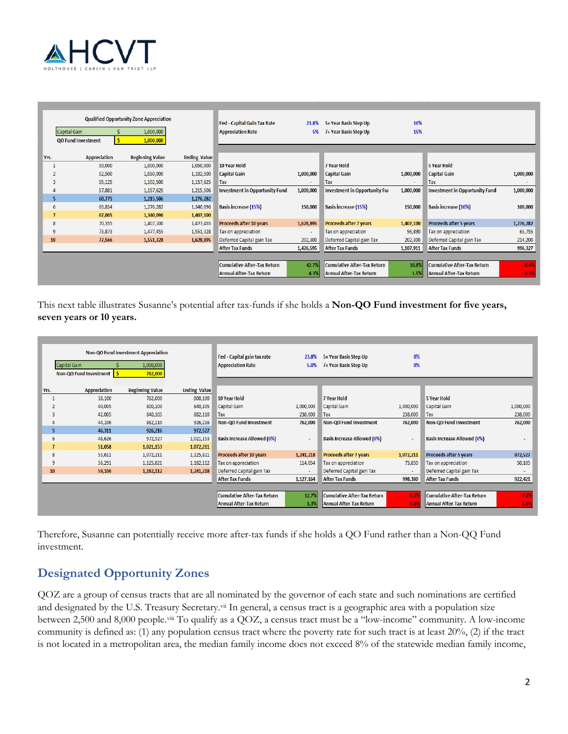

|      | <b>Qualified Opportunity Zone Appreciation</b> |  |                        |                     | <b>Fed - Capital Gain Tax Rate</b>    | 23.8%     | 5+ Year Basis Step Up                | 10%       |                                       |           |
|------|------------------------------------------------|--|------------------------|---------------------|---------------------------------------|-----------|--------------------------------------|-----------|---------------------------------------|-----------|
|      | Capital Gain                                   |  | 1,000,000              |                     | <b>Appreciation Rate</b>              | 5%        | 7+ Year Basis Step Up                | 15%       |                                       |           |
|      | <b>QO Fund Investment</b>                      |  | 1,000,000              |                     |                                       |           |                                      |           |                                       |           |
| Yrs. | <b>Appreciation</b>                            |  | <b>Beginning Value</b> | <b>Ending Value</b> |                                       |           |                                      |           |                                       |           |
|      | 50,000                                         |  | 1,000,000              | 1,050,000           | 10 Year Hold                          |           | 7 Year Hold                          |           | <b>5 Year Hold</b>                    |           |
|      | 52,500                                         |  | 1,050,000              | 1,102,500           | <b>Capital Gain</b>                   | 1,000,000 | <b>Capital Gain</b>                  | 1,000,000 | <b>Capital Gain</b>                   | 1,000,000 |
|      | 55,125                                         |  | 1,102,500              | 1,157,625           | Tax                                   |           | Tax                                  |           | Tax                                   |           |
| 4    | 57,881                                         |  | 1,157,625              | 1,215,506           | <b>Investment in Opportunity Fund</b> | 1,000,000 | <b>Investment in Opportunity Fur</b> | 1,000,000 | <b>Investment in Opportunity Fund</b> | 1,000,000 |
| 5    | 60,775                                         |  | 1,215,506              | 1,276,282           |                                       |           |                                      |           |                                       |           |
|      | 6<br>63,814                                    |  | 1,276,282              | 1,340,096           | <b>Basis increase (15%)</b>           | 150,000   | <b>Basis increase (15%)</b>          | 150,000   | <b>Basis increase (10%)</b>           | 100,000   |
|      | 67,005                                         |  | 1,340,096              | 1,407,100           |                                       |           |                                      |           |                                       |           |
| 8    | 70,355                                         |  | 1,407,100              | 1,477,455           | Proceeds after 10 years               | 1,628,895 | <b>Proceeds after 7 years</b>        | 1,407,100 | Proceeds after 5 years                | 1,276,282 |
| 9    | 73,873                                         |  | 1,477,455              | 1,551,328           | Tax on appreciation                   |           | Tax on appreciation                  | 96,890    | Tax on appreciation                   | 65,755    |
| 10   | 77,566                                         |  | 1,551,328              | 1,628,895           | Deferred Capital gain Tax             | 202,300   | Deferred Capital gain Tax            | 202,300   | Deferred Capital gain Tax             | 214,200   |
|      |                                                |  |                        |                     | <b>After Tax Funds</b>                | 1,426,595 | <b>After Tax Funds</b>               | 1,107,911 | <b>After Tax Funds</b>                | 996,327   |
|      |                                                |  |                        |                     |                                       |           |                                      |           |                                       |           |
|      |                                                |  |                        |                     | <b>Cumulative After-Tax Return</b>    | 42.7%     | <b>Cumulative After-Tax Return</b>   | 10.8%     | <b>Cumulative After-Tax Return</b>    | $-0.4%$   |
|      |                                                |  |                        |                     | <b>Annual After-Tax Return</b>        | 4.3%      | <b>Annual After-Tax Return</b>       | 1.5%      | <b>Annual After-Tax Return</b>        | $-0.1%$   |

This next table illustrates Susanne's potential after tax-funds if she holds a **Non-QO Fund investment for five years, seven years or 10 years.**

|      | Non-QO Fund Investment Appreciation |        |                        |                     | Fed - Capital gain tax rate        | 23.8%     | 5+ Year Basis Step Up              | 0%        |                                    |           |
|------|-------------------------------------|--------|------------------------|---------------------|------------------------------------|-----------|------------------------------------|-----------|------------------------------------|-----------|
|      | Capital Gain                        |        | 1,000,000              |                     | <b>Appreciation Rate</b>           | 5.0%      | 7+ Year Basis Step Up              | 0%        |                                    |           |
|      | Non-QO Fund Investment              |        | 762,000                |                     |                                    |           |                                    |           |                                    |           |
| Yrs. | <b>Appreciation</b>                 |        | <b>Beginning Value</b> | <b>Ending Value</b> |                                    |           |                                    |           |                                    |           |
|      |                                     | 38,100 | 762,000                | 800,100             | 10 Year Hold                       |           | <b>7 Year Hold</b>                 |           | <b>5 Year Hold</b>                 |           |
|      |                                     | 40,005 | 800,100                | 840,105             | Capital Gain                       | 1,000,000 | Capital Gain                       | 1,000,000 | Capital Gain                       | 1,000,000 |
| 3    |                                     | 42,005 | 840,105                | 882,110             | Tax                                | 238,000   | Tax                                | 238,000   | Tax                                | 238,000   |
|      |                                     | 44,106 | 882,110                | 926,216             | <b>Non-QO Fund Investment</b>      | 762,000   | Non-QO Fund Investment             | 762,000   | Non-QO Fund Investment             | 762,000   |
| 5    |                                     | 46,311 | 926,216                | 972,527             |                                    |           |                                    |           |                                    |           |
| 6    |                                     | 48,626 | 972,527                | 1,021,153           | <b>Basis Increase Allowed (0%)</b> | ٠         | <b>Basis Increase Allowed (0%)</b> | ٠         | <b>Basis Increase Allowed (0%)</b> |           |
|      |                                     | 51,058 | 1,021,153              | 1,072,211           |                                    |           |                                    |           |                                    |           |
| 8    |                                     | 53,611 | 1,072,211              | 1,125,821           | Proceeds after 10 years            | 1,241,218 | <b>Proceeds after 7 years</b>      | 1,072,211 | Proceeds after 5 years             | 972,527   |
| 9    |                                     | 56,291 | 1,125,821              | 1,182,112           | Tax on appreciation                | 114,054   | Tax on appreciation                | 73,830    | Tax on appreciation                | 50,105    |
| 10   |                                     | 59,106 | 1,182,112              | 1,241,218           | Deferred Capital gain Tax          |           | Deferred Capital gain Tax          | $\sim$    | Deferred Capital gain Tax          | $\sim$    |
|      |                                     |        |                        |                     | <b>After Tax Funds</b>             | 1,127,164 | <b>After Tax Funds</b>             | 998,380   | <b>After Tax Funds</b>             | 922,421   |
|      |                                     |        |                        |                     |                                    |           |                                    |           |                                    |           |
|      |                                     |        |                        |                     | <b>Cumulative After-Tax Return</b> | 12.7%     | <b>Cumulative After-Tax Return</b> | $-0.29$   | <b>Cumulative After-Tax Return</b> | $-7.8%$   |
|      |                                     |        |                        |                     | <b>Annual After-Tax Return</b>     | 1.3%      | Annual After-Tax Return            | 0.05      | <b>Annual After-Tax Return</b>     | $-1.6%$   |

Therefore, Susanne can potentially receive more after-tax funds if she holds a QO Fund rather than a Non-QQ Fund investment.

#### **Designated Opportunity Zones**

QOZ are a group of census tracts that are all nominated by the governor of each state and such nominations are certified and designated by the U.S. Treasury Secretary.<sup>[vii](#page-4-6)</sup> In general, a census tract is a geographic area with a population size between 2,500 and 8,000 people.[viii](#page-4-7) To qualify as a QOZ, a census tract must be a "low-income" community. A low-income community is defined as: (1) any population census tract where the poverty rate for such tract is at least 20%, (2) if the tract is not located in a metropolitan area, the median family income does not exceed 8% of the statewide median family income,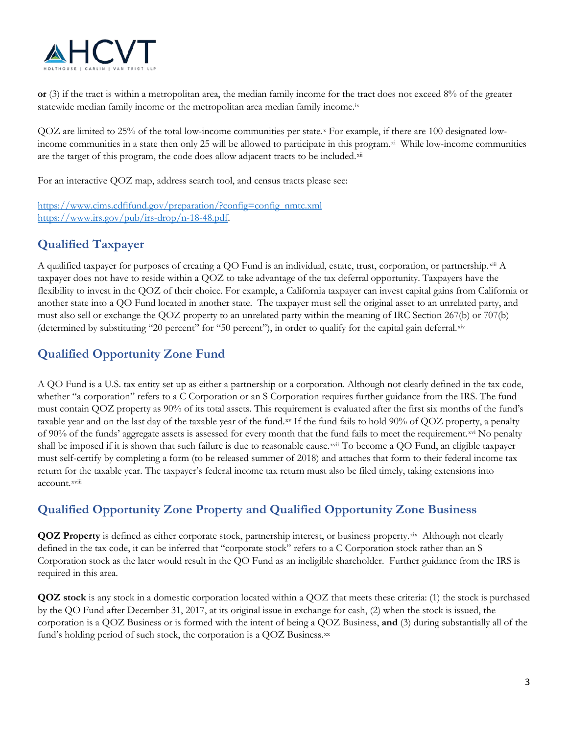

**or** (3) if the tract is within a metropolitan area, the median family income for the tract does not exceed 8% of the greater statewide median family income or the metropolitan area median family income.<sup>[ix](#page-4-8)</sup>

QOZ are limited to 25% of the total low-income communities per state[.x](#page-4-9) For example, if there are 100 designated lowincome communities in a state then only 25 will be allowed to participate in this program.<sup>xi</sup> While low-income communities are the target of this program, the code does allow adjacent tracts to be included.<sup>[xii](#page-4-11)</sup>

For an interactive QOZ map, address search tool, and census tracts please see:

[https://www.cims.cdfifund.gov/preparation/?config=config\\_nmtc.xml](https://www.cims.cdfifund.gov/preparation/?config=config_nmtc.xml) [https://www.irs.gov/pub/irs-drop/n-18-48.pdf.](https://www.irs.gov/pub/irs-drop/n-18-48.pdf)

#### **Qualified Taxpayer**

A qualified taxpayer for purposes of creating a QO Fund is an individual, estate, trust, corporation, or partnership.[xiii](#page-4-12) A taxpayer does not have to reside within a QOZ to take advantage of the tax deferral opportunity. Taxpayers have the flexibility to invest in the QOZ of their choice. For example, a California taxpayer can invest capital gains from California or another state into a QO Fund located in another state. The taxpayer must sell the original asset to an unrelated party, and must also sell or exchange the QOZ property to an unrelated party within the meaning of IRC Section 267(b) or 707(b) (determined by substituting "20 percent" for "50 percent"), in order to qualify for the capital gain deferral.[xiv](#page-4-13)

### **Qualified Opportunity Zone Fund**

A QO Fund is a U.S. tax entity set up as either a partnership or a corporation. Although not clearly defined in the tax code, whether "a corporation" refers to a C Corporation or an S Corporation requires further guidance from the IRS. The fund must contain QOZ property as 90% of its total assets. This requirement is evaluated after the first six months of the fund's taxable year and on the last day of the taxable year of the fund.[xv](#page-4-14) If the fund fails to hold 90% of QOZ property, a penalty account.<sup>xv[i](#page-4-17)ii</sup> of 90% of the funds' aggregate assets is assessed for every month that the fund fails to meet the requirement.[xvi](#page-4-15) No penalty shall be imposed if it is shown that such failure is due to reasonable cause.[xvii](#page-4-16) To become a QO Fund, an eligible taxpayer must self-certify by completing a form (to be released summer of 2018) and attaches that form to their federal income tax return for the taxable year. The taxpayer's federal income tax return must also be filed timely, taking extensions into

### **Qualified Opportunity Zone Property and Qualified Opportunity Zone Business**

**QOZ** Property is defined as either corporate stock, partnership interest, or business property.<sup>[xix](#page-4-18)</sup> Although not clearly defined in the tax code, it can be inferred that "corporate stock" refers to a C Corporation stock rather than an S Corporation stock as the later would result in the QO Fund as an ineligible shareholder. Further guidance from the IRS is required in this area.

**QOZ stock** is any stock in a domestic corporation located within a QOZ that meets these criteria: (1) the stock is purchased by the QO Fund after December 31, 2017, at its original issue in exchange for cash, (2) when the stock is issued, the corporation is a QOZ Business or is formed with the intent of being a QOZ Business, **and** (3) during substantially all of the fund's holding period of such stock, the corporation is a QOZ Business[.xx](#page-4-19)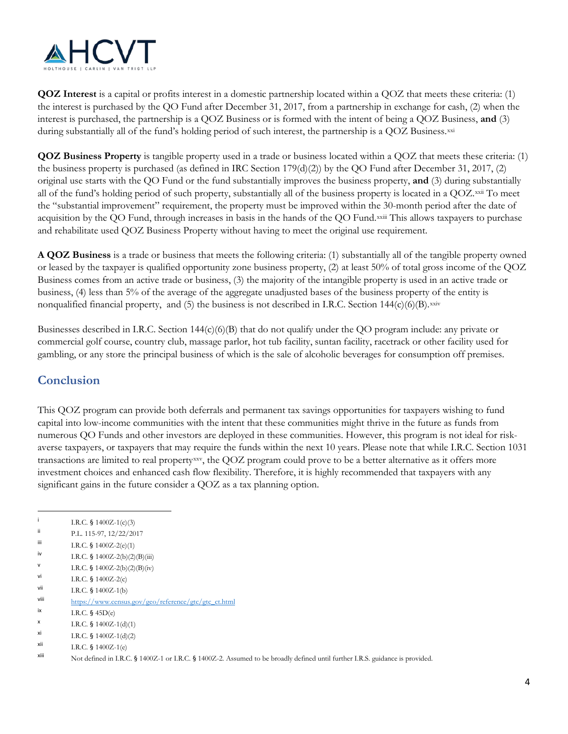

**QOZ Interest** is a capital or profits interest in a domestic partnership located within a QOZ that meets these criteria: (1) the interest is purchased by the QO Fund after December 31, 2017, from a partnership in exchange for cash, (2) when the interest is purchased, the partnership is a QOZ Business or is formed with the intent of being a QOZ Business, **and** (3) during substantially all of the fund's holding period of such interest, the partnership is a QOZ Business.<sup>[xxi](#page-4-20)</sup>

**QOZ Business Property** is tangible property used in a trade or business located within a QOZ that meets these criteria: (1) the business property is purchased (as defined in IRC Section 179(d)(2)) by the QO Fund after December 31, 2017, (2) original use starts with the QO Fund or the fund substantially improves the business property, **and** (3) during substantially all of the fund's holding period of such property, substantially all of the business property is located in a QOZ.[xxii](#page-4-21) To meet acqu[i](#page-4-22)sition by the QO Fund, through increases in basis in the hands of the QO Fund. XXIII This allows taxpayers to purchase the "substantial improvement" requirement, the property must be improved within the 30-month period after the date of and rehabilitate used QOZ Business Property without having to meet the original use requirement.

**A QOZ Business** is a trade or business that meets the following criteria: (1) substantially all of the tangible property owned or leased by the taxpayer is qualified opportunity zone business property, (2) at least 50% of total gross income of the QOZ Business comes from an active trade or business, (3) the majority of the intangible property is used in an active trade or business, (4) less than 5% of the average of the aggregate unadjusted bases of the business property of the entity is nonqualified financial property, and (5) the business is not described in I.R.C. Section  $144(c)(6)(B)$ . $x$ xiv

Businesses described in I.R.C. Section 144(c)(6)(B) that do not qualify under the QO program include: any private or commercial golf course, country club, massage parlor, hot tub facility, suntan facility, racetrack or other facility used for gambling, or any store the principal business of which is the sale of alcoholic beverages for consumption off premises.

#### **Conclusion**

This QOZ program can provide both deferrals and permanent tax savings opportunities for taxpayers wishing to fund capital into low-income communities with the intent that these communities might thrive in the future as funds from numerous QO Funds and other investors are deployed in these communities. However, this program is not ideal for riskaverse taxpayers, or taxpayers that may require the funds within the next 10 years. Please note that while I.R.C. Section 1031 transactions are limited to real property<sup>xxv</sup>, the QOZ program could prove to be a better alternative as it offers more investment choices and enhanced cash flow flexibility. Therefore, it is highly recommended that taxpayers with any significant gains in the future consider a QOZ as a tax planning option.

 $\overline{a}$ 

v I.R.C. § 1400Z-2(b)(2)(B)(iv)

i I.R.C. § 1400Z-1(c)(3)

ii P.L. 115-97, 12/22/2017

iii I.R.C. § 1400Z-2(e)(1)

iv I.R.C. § 1400Z-2(b)(2)(B)(iii)

vi I.R.C. § 1400Z-2(c)<br>vii I.R.C. § 1400Z-1(b)

I.R.C. § 1400Z-1(b)

viii [https://www.census.gov/geo/reference/gtc/gtc\\_ct.html](https://www.census.gov/geo/reference/gtc/gtc_ct.html)<br>ix r P C 5.45 P()

I.R.C.  $\frac{5}{9}$  [45D\(e\)](https://checkpoint.riag.com/app/main/docLinkNew?DocID=i718d314c19d711dcb1a9c7f8ee2eaa77&SrcDocId=T0TCODE%3A47801.1-1&feature=tcheckpoint&lastCpReqId=619784&pinpnt=TCODE%3A1368.1&d=d#TCODE%3A1368.1)

x I.R.C. § 1400Z-1(d)(1)

 $x$ i I.R.C. § 1400Z-1(d)(2)

 $xii$  I.R.C. § 1400Z-1(e)

xiii Not defined in I.R.C. § 1400Z-1 or I.R.C. § 1400Z-2. Assumed to be broadly defined until further I.R.S. guidance is provided.